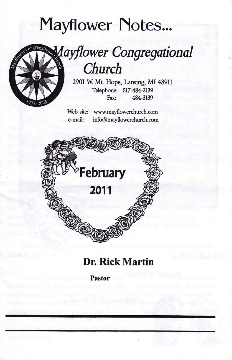# Mayflower Notes...



## Mayflower Congregational Church

2901 W. Mt. Hope, Lansing, MI 48911 Telephone: 517-484-3139<br>Fax: 484-3139

Web site: www.mayflowerchurch.com info@mayflowerchurch.com e-mail:



### Dr. Rick Martin

Pastor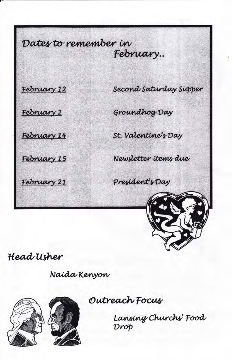Dates to remember in February..

February 12

Second Saturday Supper

February 2

February 14

February 15

February 21

Groundhog Day

St. Valentine's Day

Newsletter items due

President's Day



Head Usher

Naida Kenyon



Outreach Focus

Lansing Churchs' Food Drop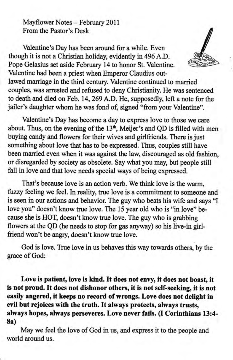Mayflower Notes - February 2011 From the Pastor's Desk

Valentine's Day has been around for a while. Even though it is not a Christian holiday, evidently in 496A.D. Pope Gelasius set aside February 14 to honor St. Valentine. Valentine had been a priest when Emperor Claudius outlawed marriage in the third century. Valentine continued to married couples, was arrested and refused to deny Christianity. He was sentenced to death and died on Feb. 14,269 A.D. He, supposedly, left a note for the

Valentine's Day has become a day to express love to those we care about. Thus, on the evening of the  $13<sup>th</sup>$ , Meijer's and QD is filled with men buying candy and flowers for their wives and girlfriends. There is just something about love that has to be expressed. Thus, couples still have been married even when it was against the law, discouraged as old fashion, or disregarded by society as obsolete. Say what you may, but people still fall in love and that love needs special ways of being expressed.

jailer's daughter whom he was fond of, signed "from your Valentine".

That's because love is an action verb. We think love is the warm, fuzzy feeling we feel. In reality, true love is a commitment to someone and is seen in our actions and behavior. The guy who beats his wife and says "I love you" doesn't know true love. The 15 year old who is "in love" because she is HOT, doesn't know true love. The guy who is grabbing flowers at the QD (he needs to stop for gas anyway) so his live-in girlfriend won't be angry, doesn't know true love.

God is love. True love in us behaves this way towards others, by the grace of God:

Love is patient, love is kind. It does not envy, it does not boast, it is not proud. It does not dishonor others, it is not self-seeking, it is not easily angered, it keeps no record of wrongs. Love does not delight in evil but rejoices with the truth. It always protects, always trusts, always hopes, always persevenes. Love never fails. (I Corinthians 13:4- 8a)

May we feel the love of God in us, and express it to the people and world around us.

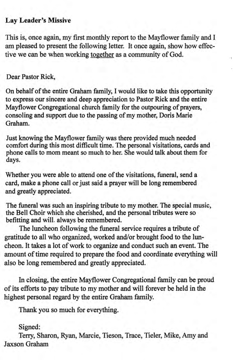#### Lay Leader's Missive

This is, once again, my frst monthly report to the Mayflower family and I am pleased to present the following letter. It once again, show how effective we can be when working together as a community of God.

#### Dear Pastor Rick,

On behalf of the entire Graham family, I would like to take this opportunity to express our sincere and deep appreciation to Pastor Rick and the entire Mayflower Congregational church family for the outpouring of prayers, consoling and support due to the passing of my mother, Doris Marie Graham.

Just knowing the Mayflower family was there provided much needed comfort during this most difficult time. The personal visitations, cards and phone calls to mom meant so much to her. She would talk about them for days.

Whether you were able to attend one of the visitations, funeral, send a card, make a phone call or just said a prayer will be long remembered and greatly appreciated.

The funeral was such an inspiring tribute to my mother. The special music, the Bell Choir which she cherished, and the personal tributes were so befitting and will. always be remembered.

The luncheon following the funeral service requires a tribute of gratitude to all who organized, worked and/or brought food to the luncheon. It takes a lot of work to organize and conduct such an event. The amount of time required to prepare the food and coordinate everything will also be long remembered and greatly appreciated

In closing, the entire Mayflower Congregational family can be proud of its efforts to pay fribute to my mother and will forever be held in the highest personal regard by the entire Graham family.

Thank you so much for everything.

#### Signed:

Terry, Sharon, Ryan, Marcie, Tieson, Trace, Tieler, Mike, Amy and Jaxson Graham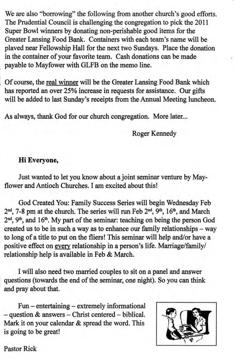We are also "borrowing" the following from another church's good efforts. The Prudential Council is challenging the congregation to pick the 2011 Super Bowl winners by donating non-perishable good items for the Greater Lansing Food Bank. Containers with each team's name will be plaved near Fellowship Hall for the next two Sundays. Place the donation in the container of your favorite team. Cash donations can be made payable to Mayfower with GLFB on the memo line.

Of course, the real winner will be the Greater Lansing Food Bank which has reported an over 25% increase in requests for assistance. Our gifts will be added to last Sunday's receipts from the Annual Meeting luncheon.

As always, thank God for our church congregation. More later...

Roger Kennedy

#### Hi Everyone,

Just wanted to let you know about a joint seminar venture by Mayflower and Antioch Churches. I am excited about this!

God Created You: Family Success Series will begin Wednesday Feb  $2<sup>nd</sup>$ , 7-8 pm at the church. The series will run Feb  $2<sup>nd</sup>$ ,  $9<sup>th</sup>$ ,  $16<sup>th</sup>$ , and March  $2<sup>nd</sup>$ ,  $9<sup>th</sup>$ , and  $16<sup>th</sup>$ . My part of the seminar: teaching on being the person God created us to be in such a way as to enhance our family relationships - way to long of a title to put on the fliers! This seminar will help and/or have a positive effect on every relationship in a person's life. Marriage/family/ relationship help is available in Feb & March.

I will also need two married couples to sit on a panel and answer questions (towards the end of the seminar, one night). So you can think and pray about that.

Fun – entertaining – extremely informational  $-$  question  $\&$  answers  $-$  Christ centered  $-$  biblical. Mark it on your calendar & spread the word. This is going to be great!



Pastor Rick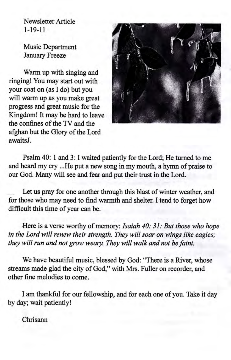Newsletter Article 1-19-11

Music Department January Freeze

Warm up with singing and ringing! You may start out with your coat on (as I do) but you will warm up as you make great progress and great music for the Kingdom! It may be hard to leave the confines of the TV and the afghan but the Glory of the Lord awaitsJ.



Psalm 40: 1 and 3: I waited patiently for the Lord; He turned to me and heard my cry ...He put a new song in my moutb, a hymn of praise to our God. Many will see and fear and put their trust in the Lord.

Let us pray for one another through this blast of winter weather, and for those who may need to find warmth and shelter. I tend to forget how difficult this time of year can be.

Here is a verse worthy of memory: Isaiah 40: 31: But those who hope in the Lord will renew their strength. They will soar on wings like eagles; they will run and not grow weary. They will walk and not be faint.

We have beautiful music, blessed by God: "There is a River, whose streams made glad the city of God," with Mrs. Fuller on recorder, and other fine melodies to come.

I am thankful for our fellowship, and for each one of you. Take it day by day; wait patiently!

Chrisann